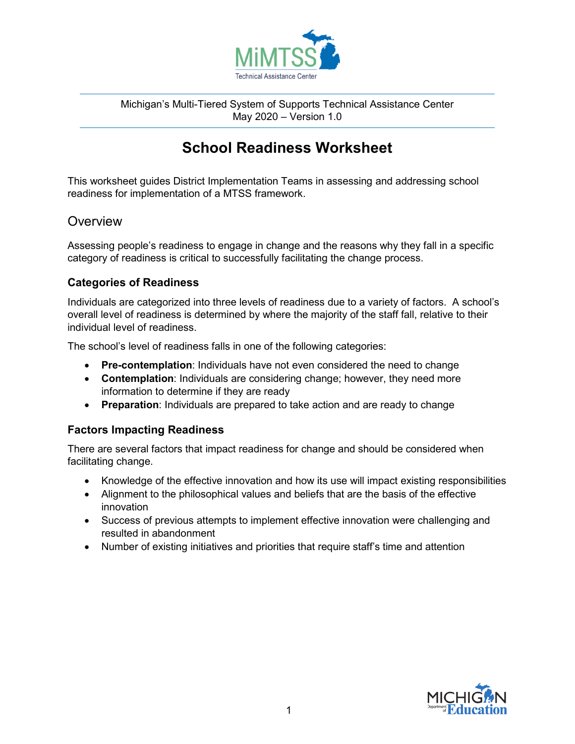

Michigan's Multi-Tiered System of Supports Technical Assistance Center May 2020 – Version 1.0

# **School Readiness Worksheet**

This worksheet guides District Implementation Teams in assessing and addressing school readiness for implementation of a MTSS framework.

## **Overview**

Assessing people's readiness to engage in change and the reasons why they fall in a specific category of readiness is critical to successfully facilitating the change process.

### **Categories of Readiness**

Individuals are categorized into three levels of readiness due to a variety of factors. A school's overall level of readiness is determined by where the majority of the staff fall, relative to their individual level of readiness.

The school's level of readiness falls in one of the following categories:

- **Pre-contemplation**: Individuals have not even considered the need to change
- **Contemplation**: Individuals are considering change; however, they need more information to determine if they are ready
- **Preparation**: Individuals are prepared to take action and are ready to change

#### **Factors Impacting Readiness**

There are several factors that impact readiness for change and should be considered when facilitating change.

- Knowledge of the effective innovation and how its use will impact existing responsibilities
- Alignment to the philosophical values and beliefs that are the basis of the effective innovation
- Success of previous attempts to implement effective innovation were challenging and resulted in abandonment
- Number of existing initiatives and priorities that require staff's time and attention